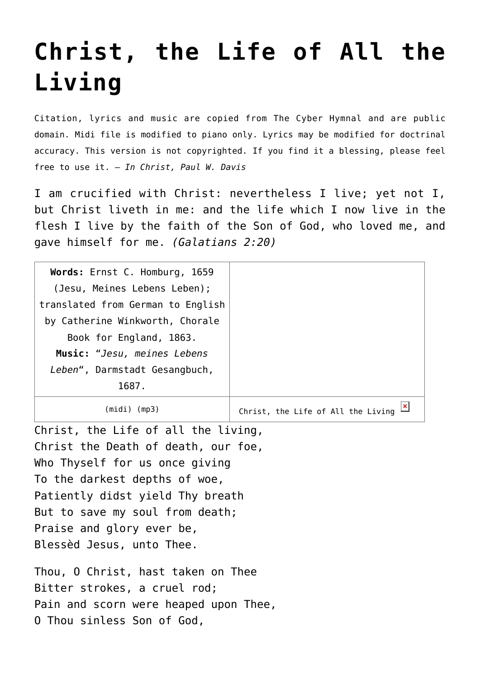## **[Christ, the Life of All the](http://reproachofmen.org/hymns-and-music/christ-the-life-of-all-the-living/) [Living](http://reproachofmen.org/hymns-and-music/christ-the-life-of-all-the-living/)**

Citation, lyrics and music are copied from [The Cyber Hymnal](http://www.hymntime.com/tch/index.htm) and are public domain. Midi file is modified to piano only. Lyrics may be modified for doctrinal accuracy. This version is not copyrighted. If you find it a blessing, please feel free to use it. — *In Christ, Paul W. Davis*

I am crucified with Christ: nevertheless I live; yet not I, but Christ liveth in me: and the life which I now live in the flesh I live by the faith of the Son of God, who loved me, and gave himself for me. *(Galatians 2:20)*

| Words: Ernst C. Homburg, 1659     |                                    |
|-----------------------------------|------------------------------------|
| (Jesu, Meines Lebens Leben);      |                                    |
| translated from German to English |                                    |
| by Catherine Winkworth, Chorale   |                                    |
| Book for England, 1863.           |                                    |
| Music: "Jesu, meines Lebens       |                                    |
| Leben", Darmstadt Gesangbuch,     |                                    |
| 1687.                             |                                    |
| (mp3)<br>(mıdı)                   | Christ, the Life of All the Living |

Christ, the Life of all the living, Christ the Death of death, our foe, Who Thyself for us once giving To the darkest depths of woe, Patiently didst yield Thy breath But to save my soul from death; Praise and glory ever be, Blessèd Jesus, unto Thee.

Thou, O Christ, hast taken on Thee Bitter strokes, a cruel rod; Pain and scorn were heaped upon Thee, O Thou sinless Son of God,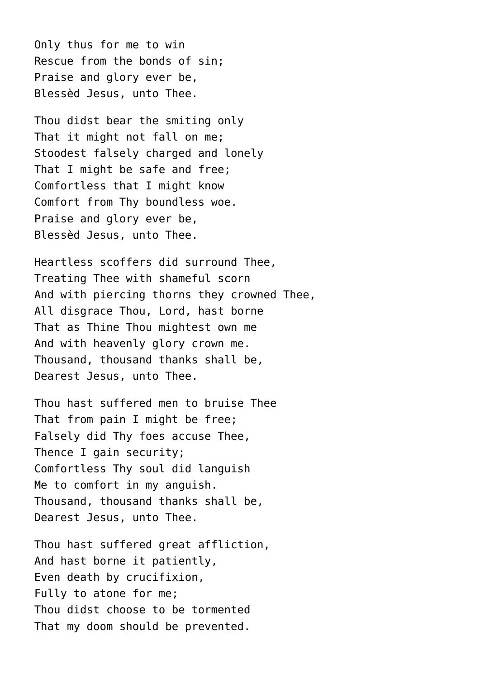Only thus for me to win Rescue from the bonds of sin; Praise and glory ever be, Blessèd Jesus, unto Thee.

Thou didst bear the smiting only That it might not fall on me: Stoodest falsely charged and lonely That I might be safe and free; Comfortless that I might know Comfort from Thy boundless woe. Praise and glory ever be, Blessèd Jesus, unto Thee.

Heartless scoffers did surround Thee, Treating Thee with shameful scorn And with piercing thorns they crowned Thee, All disgrace Thou, Lord, hast borne That as Thine Thou mightest own me And with heavenly glory crown me. Thousand, thousand thanks shall be, Dearest Jesus, unto Thee.

Thou hast suffered men to bruise Thee That from pain I might be free; Falsely did Thy foes accuse Thee, Thence I gain security; Comfortless Thy soul did languish Me to comfort in my anguish. Thousand, thousand thanks shall be, Dearest Jesus, unto Thee.

Thou hast suffered great affliction, And hast borne it patiently, Even death by crucifixion, Fully to atone for me; Thou didst choose to be tormented That my doom should be prevented.